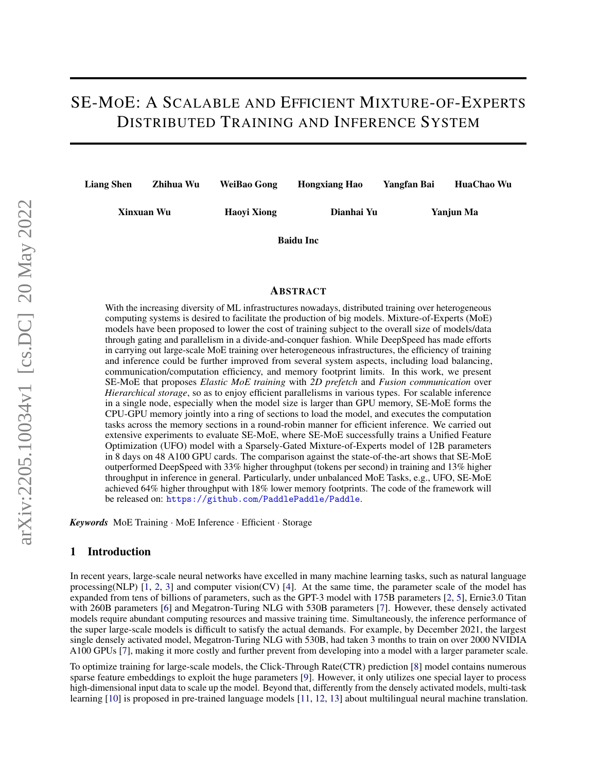# SE-MOE: A SCALABLE AND EFFICIENT MIXTURE-OF-EXPERTS DISTRIBUTED TRAINING AND INFERENCE SYSTEM

| Zhihua Wu<br><b>Liang Shen</b> |            | WeiBao Gong | <b>Hongxiang Hao</b> | Yangfan Bai | HuaChao Wu |  |  |
|--------------------------------|------------|-------------|----------------------|-------------|------------|--|--|
|                                | Xinxuan Wu | Haovi Xiong | Dianhai Yu           |             | Yanjun Ma  |  |  |
|                                |            |             | <b>Baidu Inc</b>     |             |            |  |  |

ABSTRACT

With the increasing diversity of ML infrastructures nowadays, distributed training over heterogeneous computing systems is desired to facilitate the production of big models. Mixture-of-Experts (MoE) models have been proposed to lower the cost of training subject to the overall size of models/data through gating and parallelism in a divide-and-conquer fashion. While DeepSpeed has made efforts in carrying out large-scale MoE training over heterogeneous infrastructures, the efficiency of training and inference could be further improved from several system aspects, including load balancing, communication/computation efficiency, and memory footprint limits. In this work, we present SE-MoE that proposes *Elastic MoE training* with *2D prefetch* and *Fusion communication* over *Hierarchical storage*, so as to enjoy efficient parallelisms in various types. For scalable inference in a single node, especially when the model size is larger than GPU memory, SE-MoE forms the CPU-GPU memory jointly into a ring of sections to load the model, and executes the computation tasks across the memory sections in a round-robin manner for efficient inference. We carried out extensive experiments to evaluate SE-MoE, where SE-MoE successfully trains a Unified Feature Optimization (UFO) model with a Sparsely-Gated Mixture-of-Experts model of 12B parameters in 8 days on 48 A100 GPU cards. The comparison against the state-of-the-art shows that SE-MoE outperformed DeepSpeed with 33% higher throughput (tokens per second) in training and 13% higher throughput in inference in general. Particularly, under unbalanced MoE Tasks, e.g., UFO, SE-MoE achieved 64% higher throughput with 18% lower memory footprints. The code of the framework will be released on: <https://github.com/PaddlePaddle/Paddle>.

*Keywords* MoE Training · MoE Inference · Efficient · Storage

#### 1 Introduction

In recent years, large-scale neural networks have excelled in many machine learning tasks, such as natural language processing(NLP)  $[1, 2, 3]$  $[1, 2, 3]$  $[1, 2, 3]$  $[1, 2, 3]$  $[1, 2, 3]$  and computer vision(CV)  $[4]$ . At the same time, the parameter scale of the model has expanded from tens of billions of parameters, such as the GPT-3 model with 175B parameters [\[2,](#page-14-0) [5\]](#page-14-3), Ernie3.0 Titan with 260B parameters [\[6\]](#page-14-4) and Megatron-Turing NLG with 530B parameters [\[7\]](#page-14-5). However, these densely activated models require abundant computing resources and massive training time. Simultaneously, the inference performance of the super large-scale models is difficult to satisfy the actual demands. For example, by December 2021, the largest single densely activated model, Megatron-Turing NLG with 530B, had taken 3 months to train on over 2000 NVIDIA A100 GPUs [\[7\]](#page-14-5), making it more costly and further prevent from developing into a model with a larger parameter scale.

To optimize training for large-scale models, the Click-Through Rate(CTR) prediction [\[8\]](#page-14-6) model contains numerous sparse feature embeddings to exploit the huge parameters [\[9\]](#page-14-7). However, it only utilizes one special layer to process high-dimensional input data to scale up the model. Beyond that, differently from the densely activated models, multi-task learning [\[10\]](#page-14-8) is proposed in pre-trained language models [\[11,](#page-14-9) [12,](#page-14-10) [13\]](#page-14-11) about multilingual neural machine translation.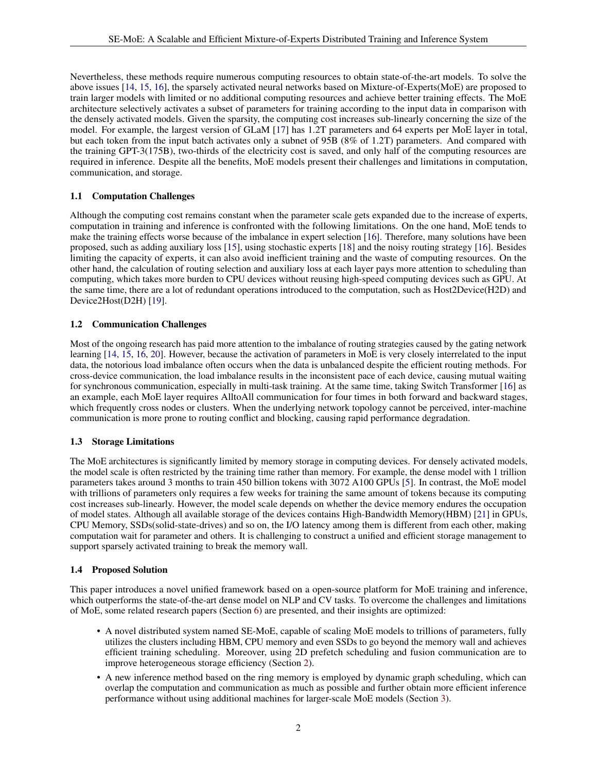Nevertheless, these methods require numerous computing resources to obtain state-of-the-art models. To solve the above issues [\[14,](#page-14-12) [15,](#page-14-13) [16\]](#page-14-14), the sparsely activated neural networks based on Mixture-of-Experts(MoE) are proposed to train larger models with limited or no additional computing resources and achieve better training effects. The MoE architecture selectively activates a subset of parameters for training according to the input data in comparison with the densely activated models. Given the sparsity, the computing cost increases sub-linearly concerning the size of the model. For example, the largest version of GLaM [\[17\]](#page-14-15) has 1.2T parameters and 64 experts per MoE layer in total, but each token from the input batch activates only a subnet of 95B (8% of 1.2T) parameters. And compared with the training GPT-3(175B), two-thirds of the electricity cost is saved, and only half of the computing resources are required in inference. Despite all the benefits, MoE models present their challenges and limitations in computation, communication, and storage.

#### 1.1 Computation Challenges

Although the computing cost remains constant when the parameter scale gets expanded due to the increase of experts, computation in training and inference is confronted with the following limitations. On the one hand, MoE tends to make the training effects worse because of the imbalance in expert selection [\[16\]](#page-14-14). Therefore, many solutions have been proposed, such as adding auxiliary loss [\[15\]](#page-14-13), using stochastic experts [\[18\]](#page-14-16) and the noisy routing strategy [\[16\]](#page-14-14). Besides limiting the capacity of experts, it can also avoid inefficient training and the waste of computing resources. On the other hand, the calculation of routing selection and auxiliary loss at each layer pays more attention to scheduling than computing, which takes more burden to CPU devices without reusing high-speed computing devices such as GPU. At the same time, there are a lot of redundant operations introduced to the computation, such as Host2Device(H2D) and Device2Host(D2H) [\[19\]](#page-14-17).

#### 1.2 Communication Challenges

Most of the ongoing research has paid more attention to the imbalance of routing strategies caused by the gating network learning [\[14,](#page-14-12) [15,](#page-14-13) [16,](#page-14-14) [20\]](#page-14-18). However, because the activation of parameters in MoE is very closely interrelated to the input data, the notorious load imbalance often occurs when the data is unbalanced despite the efficient routing methods. For cross-device communication, the load imbalance results in the inconsistent pace of each device, causing mutual waiting for synchronous communication, especially in multi-task training. At the same time, taking Switch Transformer [\[16\]](#page-14-14) as an example, each MoE layer requires AlltoAll communication for four times in both forward and backward stages, which frequently cross nodes or clusters. When the underlying network topology cannot be perceived, inter-machine communication is more prone to routing conflict and blocking, causing rapid performance degradation.

#### 1.3 Storage Limitations

The MoE architectures is significantly limited by memory storage in computing devices. For densely activated models, the model scale is often restricted by the training time rather than memory. For example, the dense model with 1 trillion parameters takes around 3 months to train 450 billion tokens with 3072 A100 GPUs [\[5\]](#page-14-3). In contrast, the MoE model with trillions of parameters only requires a few weeks for training the same amount of tokens because its computing cost increases sub-linearly. However, the model scale depends on whether the device memory endures the occupation of model states. Although all available storage of the devices contains High-Bandwidth Memory(HBM) [\[21\]](#page-14-19) in GPUs, CPU Memory, SSDs(solid-state-drives) and so on, the I/O latency among them is different from each other, making computation wait for parameter and others. It is challenging to construct a unified and efficient storage management to support sparsely activated training to break the memory wall.

#### 1.4 Proposed Solution

This paper introduces a novel unified framework based on a open-source platform for MoE training and inference, which outperforms the state-of-the-art dense model on NLP and CV tasks. To overcome the challenges and limitations of MoE, some related research papers (Section [6\)](#page-13-1) are presented, and their insights are optimized:

- A novel distributed system named SE-MoE, capable of scaling MoE models to trillions of parameters, fully utilizes the clusters including HBM, CPU memory and even SSDs to go beyond the memory wall and achieves efficient training scheduling. Moreover, using 2D prefetch scheduling and fusion communication are to improve heterogeneous storage efficiency (Section [2\)](#page-2-0).
- A new inference method based on the ring memory is employed by dynamic graph scheduling, which can overlap the computation and communication as much as possible and further obtain more efficient inference performance without using additional machines for larger-scale MoE models (Section [3\)](#page-5-0).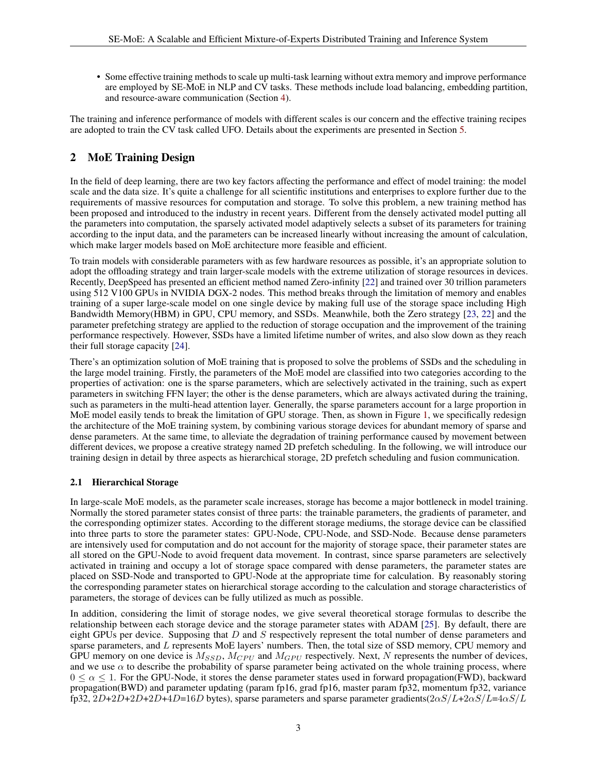• Some effective training methods to scale up multi-task learning without extra memory and improve performance are employed by SE-MoE in NLP and CV tasks. These methods include load balancing, embedding partition, and resource-aware communication (Section [4\)](#page-7-0).

The training and inference performance of models with different scales is our concern and the effective training recipes are adopted to train the CV task called UFO. Details about the experiments are presented in Section [5.](#page-10-0)

# <span id="page-2-0"></span>2 MoE Training Design

In the field of deep learning, there are two key factors affecting the performance and effect of model training: the model scale and the data size. It's quite a challenge for all scientific institutions and enterprises to explore further due to the requirements of massive resources for computation and storage. To solve this problem, a new training method has been proposed and introduced to the industry in recent years. Different from the densely activated model putting all the parameters into computation, the sparsely activated model adaptively selects a subset of its parameters for training according to the input data, and the parameters can be increased linearly without increasing the amount of calculation, which make larger models based on MoE architecture more feasible and efficient.

To train models with considerable parameters with as few hardware resources as possible, it's an appropriate solution to adopt the offloading strategy and train larger-scale models with the extreme utilization of storage resources in devices. Recently, DeepSpeed has presented an efficient method named Zero-infinity [\[22\]](#page-15-0) and trained over 30 trillion parameters using 512 V100 GPUs in NVIDIA DGX-2 nodes. This method breaks through the limitation of memory and enables training of a super large-scale model on one single device by making full use of the storage space including High Bandwidth Memory(HBM) in GPU, CPU memory, and SSDs. Meanwhile, both the Zero strategy [\[23,](#page-15-1) [22\]](#page-15-0) and the parameter prefetching strategy are applied to the reduction of storage occupation and the improvement of the training performance respectively. However, SSDs have a limited lifetime number of writes, and also slow down as they reach their full storage capacity [\[24\]](#page-15-2).

There's an optimization solution of MoE training that is proposed to solve the problems of SSDs and the scheduling in the large model training. Firstly, the parameters of the MoE model are classified into two categories according to the properties of activation: one is the sparse parameters, which are selectively activated in the training, such as expert parameters in switching FFN layer; the other is the dense parameters, which are always activated during the training, such as parameters in the multi-head attention layer. Generally, the sparse parameters account for a large proportion in MoE model easily tends to break the limitation of GPU storage. Then, as shown in Figure [1,](#page-3-0) we specifically redesign the architecture of the MoE training system, by combining various storage devices for abundant memory of sparse and dense parameters. At the same time, to alleviate the degradation of training performance caused by movement between different devices, we propose a creative strategy named 2D prefetch scheduling. In the following, we will introduce our training design in detail by three aspects as hierarchical storage, 2D prefetch scheduling and fusion communication.

#### 2.1 Hierarchical Storage

In large-scale MoE models, as the parameter scale increases, storage has become a major bottleneck in model training. Normally the stored parameter states consist of three parts: the trainable parameters, the gradients of parameter, and the corresponding optimizer states. According to the different storage mediums, the storage device can be classified into three parts to store the parameter states: GPU-Node, CPU-Node, and SSD-Node. Because dense parameters are intensively used for computation and do not account for the majority of storage space, their parameter states are all stored on the GPU-Node to avoid frequent data movement. In contrast, since sparse parameters are selectively activated in training and occupy a lot of storage space compared with dense parameters, the parameter states are placed on SSD-Node and transported to GPU-Node at the appropriate time for calculation. By reasonably storing the corresponding parameter states on hierarchical storage according to the calculation and storage characteristics of parameters, the storage of devices can be fully utilized as much as possible.

In addition, considering the limit of storage nodes, we give several theoretical storage formulas to describe the relationship between each storage device and the storage parameter states with ADAM [\[25\]](#page-15-3). By default, there are eight GPUs per device. Supposing that  $D$  and  $S$  respectively represent the total number of dense parameters and sparse parameters, and L represents MoE layers' numbers. Then, the total size of SSD memory, CPU memory and GPU memory on one device is  $M_{SSD}$ ,  $M_{CPU}$  and  $M_{GPU}$  respectively. Next, N represents the number of devices, and we use  $\alpha$  to describe the probability of sparse parameter being activated on the whole training process, where  $0 \le \alpha \le 1$ . For the GPU-Node, it stores the dense parameter states used in forward propagation(FWD), backward propagation(BWD) and parameter updating (param fp16, grad fp16, master param fp32, momentum fp32, variance fp32,  $2D+2D+2D+2D+4D=16D$  bytes), sparse parameters and sparse parameter gradients( $2\alpha S/L+2\alpha S/L=4\alpha S/L$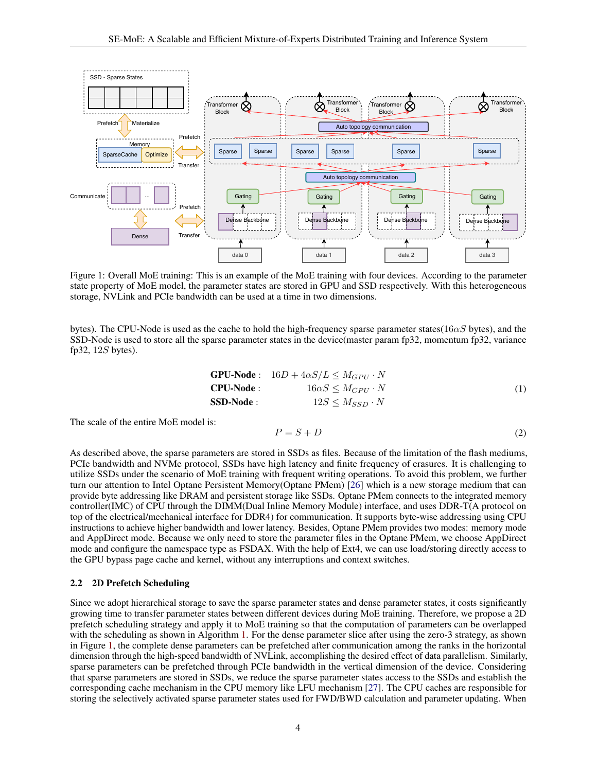<span id="page-3-0"></span>

Figure 1: Overall MoE training: This is an example of the MoE training with four devices. According to the parameter state property of MoE model, the parameter states are stored in GPU and SSD respectively. With this heterogeneous storage, NVLink and PCIe bandwidth can be used at a time in two dimensions.

bytes). The CPU-Node is used as the cache to hold the high-frequency sparse parameter states( $16\alpha S$  bytes), and the SSD-Node is used to store all the sparse parameter states in the device(master param fp32, momentum fp32, variance fp32,  $12S$  bytes).

$$
\begin{array}{ll}\n\mathbf{GPU-Node}: & 16D + 4\alpha S/L \le M_{GPU} \cdot N \\
\mathbf{CPU-Node}: & 16\alpha S \le M_{CPU} \cdot N \\
\mathbf{SSD-Node}: & 12S \le M_{SSD} \cdot N\n\end{array} \tag{1}
$$

The scale of the entire MoE model is:

$$
P = S + D \tag{2}
$$

As described above, the sparse parameters are stored in SSDs as files. Because of the limitation of the flash mediums, PCIe bandwidth and NVMe protocol, SSDs have high latency and finite frequency of erasures. It is challenging to utilize SSDs under the scenario of MoE training with frequent writing operations. To avoid this problem, we further turn our attention to Intel Optane Persistent Memory(Optane PMem) [\[26\]](#page-15-4) which is a new storage medium that can provide byte addressing like DRAM and persistent storage like SSDs. Optane PMem connects to the integrated memory controller(IMC) of CPU through the DIMM(Dual Inline Memory Module) interface, and uses DDR-T(A protocol on top of the electrical/mechanical interface for DDR4) for communication. It supports byte-wise addressing using CPU instructions to achieve higher bandwidth and lower latency. Besides, Optane PMem provides two modes: memory mode and AppDirect mode. Because we only need to store the parameter files in the Optane PMem, we choose AppDirect mode and configure the namespace type as FSDAX. With the help of Ext4, we can use load/storing directly access to the GPU bypass page cache and kernel, without any interruptions and context switches.

#### 2.2 2D Prefetch Scheduling

Since we adopt hierarchical storage to save the sparse parameter states and dense parameter states, it costs significantly growing time to transfer parameter states between different devices during MoE training. Therefore, we propose a 2D prefetch scheduling strategy and apply it to MoE training so that the computation of parameters can be overlapped with the scheduling as shown in Algorithm [1.](#page-4-0) For the dense parameter slice after using the zero-3 strategy, as shown in Figure [1,](#page-3-0) the complete dense parameters can be prefetched after communication among the ranks in the horizontal dimension through the high-speed bandwidth of NVLink, accomplishing the desired effect of data parallelism. Similarly, sparse parameters can be prefetched through PCIe bandwidth in the vertical dimension of the device. Considering that sparse parameters are stored in SSDs, we reduce the sparse parameter states access to the SSDs and establish the corresponding cache mechanism in the CPU memory like LFU mechanism [\[27\]](#page-15-5). The CPU caches are responsible for storing the selectively activated sparse parameter states used for FWD/BWD calculation and parameter updating. When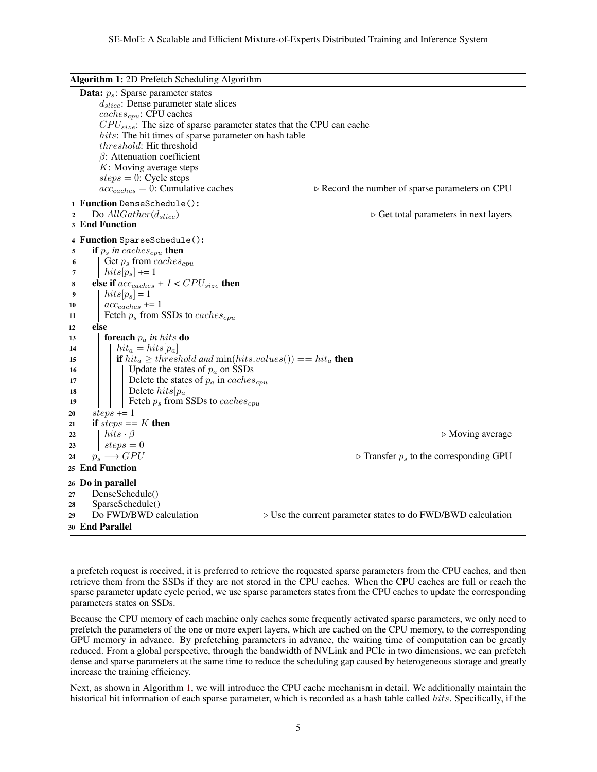<span id="page-4-0"></span>

|                                                                             | Algorithm 1: 2D Prefetch Scheduling Algorithm                                                                                                                                                                                                                                                                                                                                                                                                                                                                                                                    |
|-----------------------------------------------------------------------------|------------------------------------------------------------------------------------------------------------------------------------------------------------------------------------------------------------------------------------------------------------------------------------------------------------------------------------------------------------------------------------------------------------------------------------------------------------------------------------------------------------------------------------------------------------------|
|                                                                             | <b>Data:</b> $p_s$ : Sparse parameter states<br>$d_{slice}$ : Dense parameter state slices<br>$caches_{cpu}$ : CPU caches<br>$CPU_{size}$ : The size of sparse parameter states that the CPU can cache<br>hits: The hit times of sparse parameter on hash table<br><i>threshold</i> : Hit threshold<br>$\beta$ : Attenuation coefficient<br>$K$ : Moving average steps<br>$steps = 0$ : Cycle steps<br>$acc_{cache} = 0$ : Cumulative caches<br>$\triangleright$ Record the number of sparse parameters on CPU                                                   |
|                                                                             | 1 Function DenseSchedule():                                                                                                                                                                                                                                                                                                                                                                                                                                                                                                                                      |
|                                                                             | Do $AllGather(d_{slice})$<br>$\triangleright$ Get total parameters in next layers<br>3 End Function                                                                                                                                                                                                                                                                                                                                                                                                                                                              |
| 5<br>6<br>7<br>8<br>9<br>10<br>11<br>12<br>13<br>14<br>15<br>16<br>17<br>18 | 4 Function SparseSchedule():<br><b>if</b> $p_s$ in caches <sub>cpu</sub> then<br>Get $p_s$ from caches <sub>cpu</sub><br>$hits[p_s] += 1$<br>else if $acc_{cache} + 1 < CPU_{size}$ then<br>$hits[p_s] = 1$<br>$acccache \neq 1$<br>Fetch $p_s$ from SSDs to caches <sub>cpu</sub><br>else<br><b>foreach</b> $p_a$ in hits <b>do</b><br>$hit_a = hits[p_a]$<br><b>if</b> $hit_a \geq threshold$ and $min(hits.values()) == hit_a$ <b>then</b><br>Update the states of $p_a$ on SSDs<br>Delete the states of $p_a$ in caches <sub>cpu</sub><br>Delete $hits[p_a]$ |
| 19<br>20                                                                    | Fetch $p_s$ from SSDs to caches <sub>cpu</sub><br>steps $+= 1$                                                                                                                                                                                                                                                                                                                                                                                                                                                                                                   |
| 21                                                                          | if $steps == K$ then                                                                                                                                                                                                                                                                                                                                                                                                                                                                                                                                             |
| 22                                                                          | $hits \cdot \beta$<br>$\triangleright$ Moving average                                                                                                                                                                                                                                                                                                                                                                                                                                                                                                            |
| 23<br>24                                                                    | $steps = 0$<br>$p_s \longrightarrow GPU$<br>$\triangleright$ Transfer $p_s$ to the corresponding GPU                                                                                                                                                                                                                                                                                                                                                                                                                                                             |
|                                                                             | 25 End Function                                                                                                                                                                                                                                                                                                                                                                                                                                                                                                                                                  |
| 27<br>28<br>29                                                              | 26 Do in parallel<br>DenseSchedule()<br>SparseSchedule()<br>Do FWD/BWD calculation<br>$\triangleright$ Use the current parameter states to do FWD/BWD calculation                                                                                                                                                                                                                                                                                                                                                                                                |
|                                                                             | 30 End Parallel                                                                                                                                                                                                                                                                                                                                                                                                                                                                                                                                                  |

a prefetch request is received, it is preferred to retrieve the requested sparse parameters from the CPU caches, and then retrieve them from the SSDs if they are not stored in the CPU caches. When the CPU caches are full or reach the sparse parameter update cycle period, we use sparse parameters states from the CPU caches to update the corresponding parameters states on SSDs.

Because the CPU memory of each machine only caches some frequently activated sparse parameters, we only need to prefetch the parameters of the one or more expert layers, which are cached on the CPU memory, to the corresponding GPU memory in advance. By prefetching parameters in advance, the waiting time of computation can be greatly reduced. From a global perspective, through the bandwidth of NVLink and PCIe in two dimensions, we can prefetch dense and sparse parameters at the same time to reduce the scheduling gap caused by heterogeneous storage and greatly increase the training efficiency.

Next, as shown in Algorithm [1,](#page-4-0) we will introduce the CPU cache mechanism in detail. We additionally maintain the historical hit information of each sparse parameter, which is recorded as a hash table called hits. Specifically, if the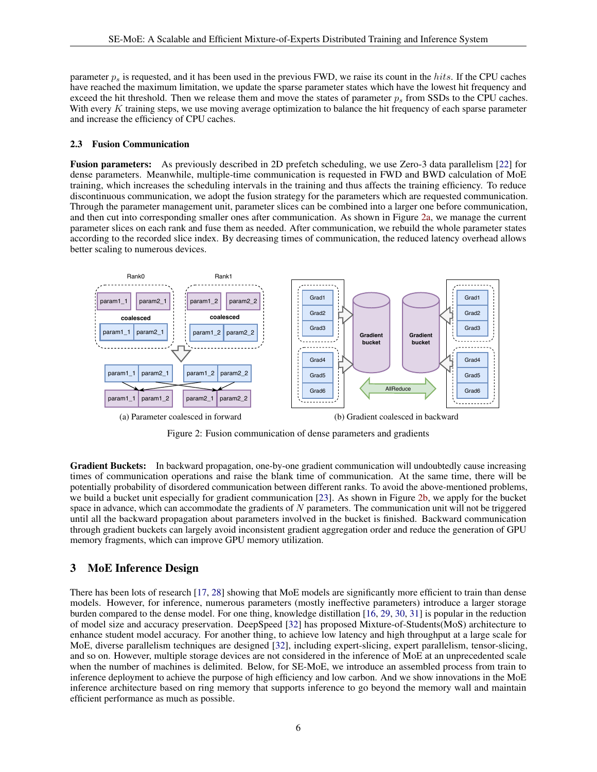parameter  $p_s$  is requested, and it has been used in the previous FWD, we raise its count in the hits. If the CPU caches have reached the maximum limitation, we update the sparse parameter states which have the lowest hit frequency and exceed the hit threshold. Then we release them and move the states of parameter  $p_s$  from SSDs to the CPU caches. With every K training steps, we use moving average optimization to balance the hit frequency of each sparse parameter and increase the efficiency of CPU caches.

#### 2.3 Fusion Communication

Fusion parameters: As previously described in 2D prefetch scheduling, we use Zero-3 data parallelism [\[22\]](#page-15-0) for dense parameters. Meanwhile, multiple-time communication is requested in FWD and BWD calculation of MoE training, which increases the scheduling intervals in the training and thus affects the training efficiency. To reduce discontinuous communication, we adopt the fusion strategy for the parameters which are requested communication. Through the parameter management unit, parameter slices can be combined into a larger one before communication, and then cut into corresponding smaller ones after communication. As shown in Figure [2a,](#page-5-1) we manage the current parameter slices on each rank and fuse them as needed. After communication, we rebuild the whole parameter states according to the recorded slice index. By decreasing times of communication, the reduced latency overhead allows better scaling to numerous devices.

<span id="page-5-1"></span>

<span id="page-5-2"></span>Figure 2: Fusion communication of dense parameters and gradients

Gradient Buckets: In backward propagation, one-by-one gradient communication will undoubtedly cause increasing times of communication operations and raise the blank time of communication. At the same time, there will be potentially probability of disordered communication between different ranks. To avoid the above-mentioned problems, we build a bucket unit especially for gradient communication [\[23\]](#page-15-1). As shown in Figure [2b,](#page-5-2) we apply for the bucket space in advance, which can accommodate the gradients of  $N$  parameters. The communication unit will not be triggered until all the backward propagation about parameters involved in the bucket is finished. Backward communication through gradient buckets can largely avoid inconsistent gradient aggregation order and reduce the generation of GPU memory fragments, which can improve GPU memory utilization.

#### <span id="page-5-0"></span>3 MoE Inference Design

There has been lots of research [\[17,](#page-14-15) [28\]](#page-15-6) showing that MoE models are significantly more efficient to train than dense models. However, for inference, numerous parameters (mostly ineffective parameters) introduce a larger storage burden compared to the dense model. For one thing, knowledge distillation [\[16,](#page-14-14) [29,](#page-15-7) [30,](#page-15-8) [31\]](#page-15-9) is popular in the reduction of model size and accuracy preservation. DeepSpeed [\[32\]](#page-15-10) has proposed Mixture-of-Students(MoS) architecture to enhance student model accuracy. For another thing, to achieve low latency and high throughput at a large scale for MoE, diverse parallelism techniques are designed [\[32\]](#page-15-10), including expert-slicing, expert parallelism, tensor-slicing, and so on. However, multiple storage devices are not considered in the inference of MoE at an unprecedented scale when the number of machines is delimited. Below, for SE-MoE, we introduce an assembled process from train to inference deployment to achieve the purpose of high efficiency and low carbon. And we show innovations in the MoE inference architecture based on ring memory that supports inference to go beyond the memory wall and maintain efficient performance as much as possible.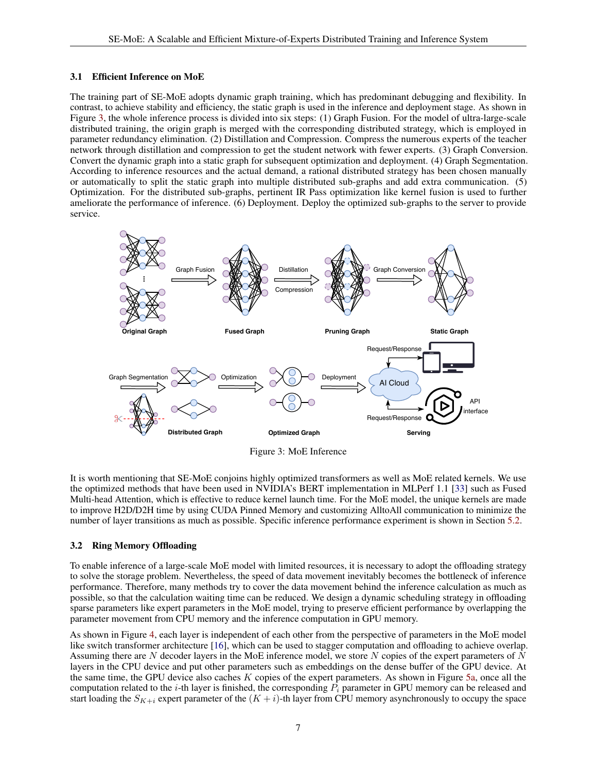#### 3.1 Efficient Inference on MoE

The training part of SE-MoE adopts dynamic graph training, which has predominant debugging and flexibility. In contrast, to achieve stability and efficiency, the static graph is used in the inference and deployment stage. As shown in Figure [3,](#page-6-0) the whole inference process is divided into six steps: (1) Graph Fusion. For the model of ultra-large-scale distributed training, the origin graph is merged with the corresponding distributed strategy, which is employed in parameter redundancy elimination. (2) Distillation and Compression. Compress the numerous experts of the teacher network through distillation and compression to get the student network with fewer experts. (3) Graph Conversion. Convert the dynamic graph into a static graph for subsequent optimization and deployment. (4) Graph Segmentation. According to inference resources and the actual demand, a rational distributed strategy has been chosen manually or automatically to split the static graph into multiple distributed sub-graphs and add extra communication. (5) Optimization. For the distributed sub-graphs, pertinent IR Pass optimization like kernel fusion is used to further ameliorate the performance of inference. (6) Deployment. Deploy the optimized sub-graphs to the server to provide service.

<span id="page-6-0"></span>

Figure 3: MoE Inference

It is worth mentioning that SE-MoE conjoins highly optimized transformers as well as MoE related kernels. We use the optimized methods that have been used in NVIDIA's BERT implementation in MLPerf 1.1 [\[33\]](#page-15-11) such as Fused Multi-head Attention, which is effective to reduce kernel launch time. For the MoE model, the unique kernels are made to improve H2D/D2H time by using CUDA Pinned Memory and customizing AlltoAll communication to minimize the number of layer transitions as much as possible. Specific inference performance experiment is shown in Section [5.2.](#page-11-0)

#### <span id="page-6-1"></span>3.2 Ring Memory Offloading

To enable inference of a large-scale MoE model with limited resources, it is necessary to adopt the offloading strategy to solve the storage problem. Nevertheless, the speed of data movement inevitably becomes the bottleneck of inference performance. Therefore, many methods try to cover the data movement behind the inference calculation as much as possible, so that the calculation waiting time can be reduced. We design a dynamic scheduling strategy in offloading sparse parameters like expert parameters in the MoE model, trying to preserve efficient performance by overlapping the parameter movement from CPU memory and the inference computation in GPU memory.

As shown in Figure [4,](#page-7-1) each layer is independent of each other from the perspective of parameters in the MoE model like switch transformer architecture [\[16\]](#page-14-14), which can be used to stagger computation and offloading to achieve overlap. Assuming there are N decoder layers in the MoE inference model, we store N copies of the expert parameters of N layers in the CPU device and put other parameters such as embeddings on the dense buffer of the GPU device. At the same time, the GPU device also caches  $K$  copies of the expert parameters. As shown in Figure [5a,](#page-7-2) once all the computation related to the *i*-th layer is finished, the corresponding  $P_i$  parameter in GPU memory can be released and start loading the  $S_{K+i}$  expert parameter of the  $(K+i)$ -th layer from CPU memory asynchronously to occupy the space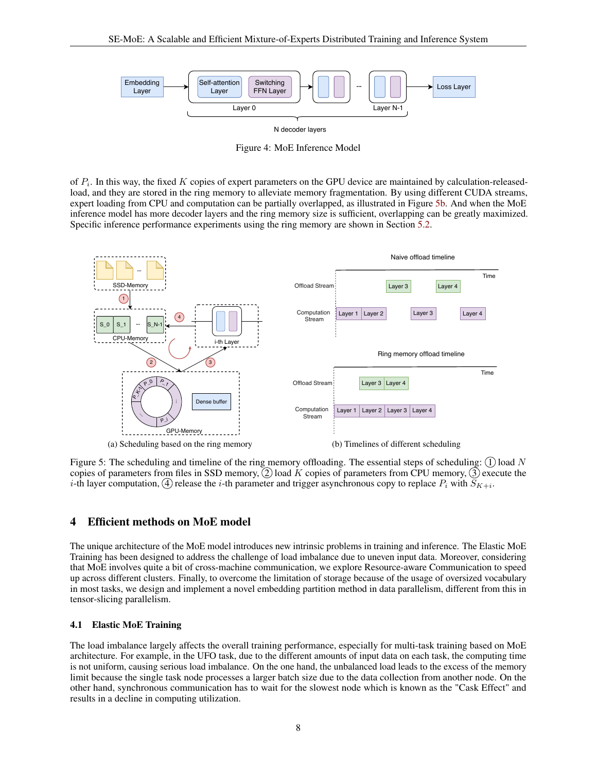<span id="page-7-1"></span>

Figure 4: MoE Inference Model

of  $P_i$ . In this way, the fixed K copies of expert parameters on the GPU device are maintained by calculation-releasedload, and they are stored in the ring memory to alleviate memory fragmentation. By using different CUDA streams, expert loading from CPU and computation can be partially overlapped, as illustrated in Figure [5b.](#page-7-3) And when the MoE inference model has more decoder layers and the ring memory size is sufficient, overlapping can be greatly maximized. Specific inference performance experiments using the ring memory are shown in Section [5.2.](#page-11-0)

<span id="page-7-2"></span>

<span id="page-7-3"></span>Figure 5: The scheduling and timeline of the ring memory offloading. The essential steps of scheduling:  $(1)$  load N copies of parameters from files in SSD memory,  $\overline{2}$  load K copies of parameters from CPU memory,  $\overline{3}$  execute the  $i$ -th layer computation,  $(4)$  release the  $i$ -th parameter and trigger asynchronous copy to replace  $P_i$  with  $S_{K+i}.$ 

#### <span id="page-7-0"></span>4 Efficient methods on MoE model

The unique architecture of the MoE model introduces new intrinsic problems in training and inference. The Elastic MoE Training has been designed to address the challenge of load imbalance due to uneven input data. Moreover, considering that MoE involves quite a bit of cross-machine communication, we explore Resource-aware Communication to speed up across different clusters. Finally, to overcome the limitation of storage because of the usage of oversized vocabulary in most tasks, we design and implement a novel embedding partition method in data parallelism, different from this in tensor-slicing parallelism.

#### <span id="page-7-4"></span>4.1 Elastic MoE Training

The load imbalance largely affects the overall training performance, especially for multi-task training based on MoE architecture. For example, in the UFO task, due to the different amounts of input data on each task, the computing time is not uniform, causing serious load imbalance. On the one hand, the unbalanced load leads to the excess of the memory limit because the single task node processes a larger batch size due to the data collection from another node. On the other hand, synchronous communication has to wait for the slowest node which is known as the "Cask Effect" and results in a decline in computing utilization.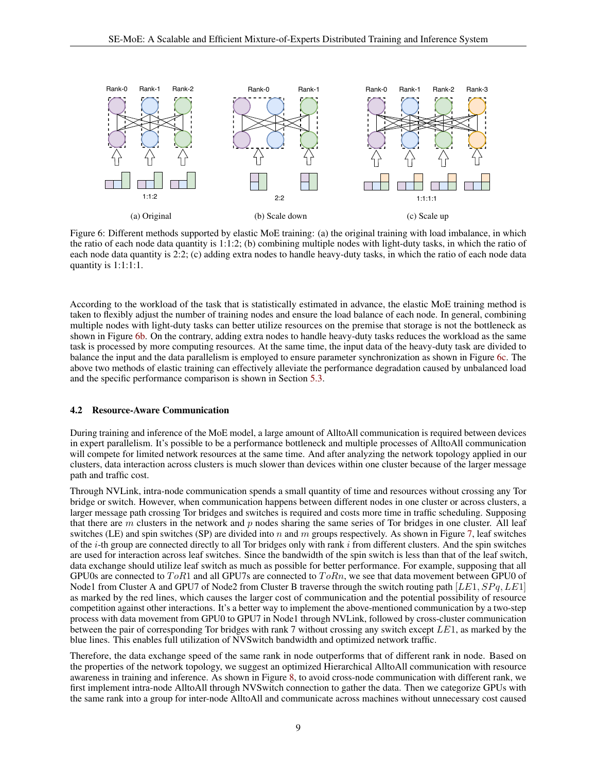

<span id="page-8-1"></span><span id="page-8-0"></span>Figure 6: Different methods supported by elastic MoE training: (a) the original training with load imbalance, in which the ratio of each node data quantity is  $1:1:2$ ; (b) combining multiple nodes with light-duty tasks, in which the ratio of each node data quantity is 2:2; (c) adding extra nodes to handle heavy-duty tasks, in which the ratio of each node data quantity is 1:1:1:1.

According to the workload of the task that is statistically estimated in advance, the elastic MoE training method is taken to flexibly adjust the number of training nodes and ensure the load balance of each node. In general, combining multiple nodes with light-duty tasks can better utilize resources on the premise that storage is not the bottleneck as shown in Figure [6b.](#page-8-0) On the contrary, adding extra nodes to handle heavy-duty tasks reduces the workload as the same task is processed by more computing resources. At the same time, the input data of the heavy-duty task are divided to balance the input and the data parallelism is employed to ensure parameter synchronization as shown in Figure [6c.](#page-8-1) The above two methods of elastic training can effectively alleviate the performance degradation caused by unbalanced load and the specific performance comparison is shown in Section [5.3.](#page-12-0)

#### 4.2 Resource-Aware Communication

During training and inference of the MoE model, a large amount of AlltoAll communication is required between devices in expert parallelism. It's possible to be a performance bottleneck and multiple processes of AlltoAll communication will compete for limited network resources at the same time. And after analyzing the network topology applied in our clusters, data interaction across clusters is much slower than devices within one cluster because of the larger message path and traffic cost.

Through NVLink, intra-node communication spends a small quantity of time and resources without crossing any Tor bridge or switch. However, when communication happens between different nodes in one cluster or across clusters, a larger message path crossing Tor bridges and switches is required and costs more time in traffic scheduling. Supposing that there are  $m$  clusters in the network and  $p$  nodes sharing the same series of Tor bridges in one cluster. All leaf switches (LE) and spin switches (SP) are divided into n and m groups respectively. As shown in Figure [7,](#page-9-0) leaf switches of the  $i$ -th group are connected directly to all Tor bridges only with rank  $i$  from different clusters. And the spin switches are used for interaction across leaf switches. Since the bandwidth of the spin switch is less than that of the leaf switch, data exchange should utilize leaf switch as much as possible for better performance. For example, supposing that all GPU0s are connected to  $ToR1$  and all GPU7s are connected to  $ToRn$ , we see that data movement between GPU0 of Node1 from Cluster A and GPU7 of Node2 from Cluster B traverse through the switch routing path  $[LE1, SPq, LE1]$ as marked by the red lines, which causes the larger cost of communication and the potential possibility of resource competition against other interactions. It's a better way to implement the above-mentioned communication by a two-step process with data movement from GPU0 to GPU7 in Node1 through NVLink, followed by cross-cluster communication between the pair of corresponding Tor bridges with rank 7 without crossing any switch except LE1, as marked by the blue lines. This enables full utilization of NVSwitch bandwidth and optimized network traffic.

Therefore, the data exchange speed of the same rank in node outperforms that of different rank in node. Based on the properties of the network topology, we suggest an optimized Hierarchical AlltoAll communication with resource awareness in training and inference. As shown in Figure [8,](#page-9-1) to avoid cross-node communication with different rank, we first implement intra-node AlltoAll through NVSwitch connection to gather the data. Then we categorize GPUs with the same rank into a group for inter-node AlltoAll and communicate across machines without unnecessary cost caused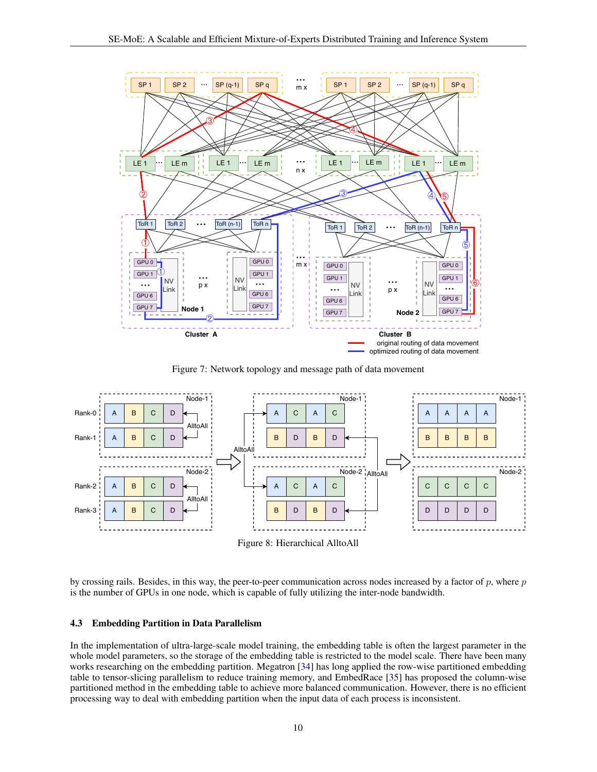<span id="page-9-0"></span>

Figure 7: Network topology and message path of data movement

<span id="page-9-1"></span>

Figure 8: Hierarchical AlltoAll

by crossing rails. Besides, in this way, the peer-to-peer communication across nodes increased by a factor of  $p$ , where  $p$ is the number of GPUs in one node, which is capable of fully utilizing the inter-node bandwidth.

#### 4.3 Embedding Partition in Data Parallelism

In the implementation of ultra-large-scale model training, the embedding table is often the largest parameter in the whole model parameters, so the storage of the embedding table is restricted to the model scale. There have been many works researching on the embedding partition. Megatron [\[34\]](#page-15-12) has long applied the row-wise partitioned embedding table to tensor-slicing parallelism to reduce training memory, and EmbedRace [\[35\]](#page-15-13) has proposed the column-wise partitioned method in the embedding table to achieve more balanced communication. However, there is no efficient processing way to deal with embedding partition when the input data of each process is inconsistent.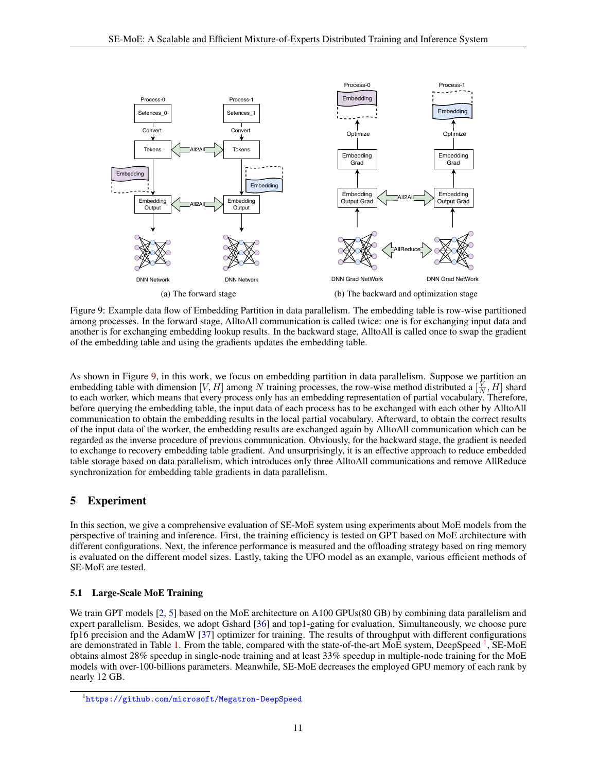<span id="page-10-1"></span>

Figure 9: Example data flow of Embedding Partition in data parallelism. The embedding table is row-wise partitioned among processes. In the forward stage, AlltoAll communication is called twice: one is for exchanging input data and another is for exchanging embedding lookup results. In the backward stage, AlltoAll is called once to swap the gradient of the embedding table and using the gradients updates the embedding table.

As shown in Figure [9,](#page-10-1) in this work, we focus on embedding partition in data parallelism. Suppose we partition an embedding table with dimension [V, H] among N training processes, the row-wise method distributed a  $\left[\frac{V}{N}, H\right]$  shard to each worker, which means that every process only has an embedding representation of partial vocabulary. Therefore, before querying the embedding table, the input data of each process has to be exchanged with each other by AlltoAll communication to obtain the embedding results in the local partial vocabulary. Afterward, to obtain the correct results of the input data of the worker, the embedding results are exchanged again by AlltoAll communication which can be regarded as the inverse procedure of previous communication. Obviously, for the backward stage, the gradient is needed to exchange to recovery embedding table gradient. And unsurprisingly, it is an effective approach to reduce embedded table storage based on data parallelism, which introduces only three AlltoAll communications and remove AllReduce synchronization for embedding table gradients in data parallelism.

### <span id="page-10-0"></span>5 Experiment

In this section, we give a comprehensive evaluation of SE-MoE system using experiments about MoE models from the perspective of training and inference. First, the training efficiency is tested on GPT based on MoE architecture with different configurations. Next, the inference performance is measured and the offloading strategy based on ring memory is evaluated on the different model sizes. Lastly, taking the UFO model as an example, various efficient methods of SE-MoE are tested.

#### 5.1 Large-Scale MoE Training

We train GPT models [\[2,](#page-14-0) [5\]](#page-14-3) based on the MoE architecture on A100 GPUs(80 GB) by combining data parallelism and expert parallelism. Besides, we adopt Gshard [\[36\]](#page-15-14) and top1-gating for evaluation. Simultaneously, we choose pure fp16 precision and the AdamW [\[37\]](#page-15-15) optimizer for training. The results of throughput with different configurations are demonstrated in Table [1.](#page-11-1) From the table, compared with the state-of-the-art MoE system, DeepSpeed <sup>[1](#page-10-2)</sup>, SE-MoE obtains almost 28% speedup in single-node training and at least 33% speedup in multiple-node training for the MoE models with over-100-billions parameters. Meanwhile, SE-MoE decreases the employed GPU memory of each rank by nearly 12 GB.

<span id="page-10-2"></span><sup>1</sup> <https://github.com/microsoft/Megatron-DeepSpeed>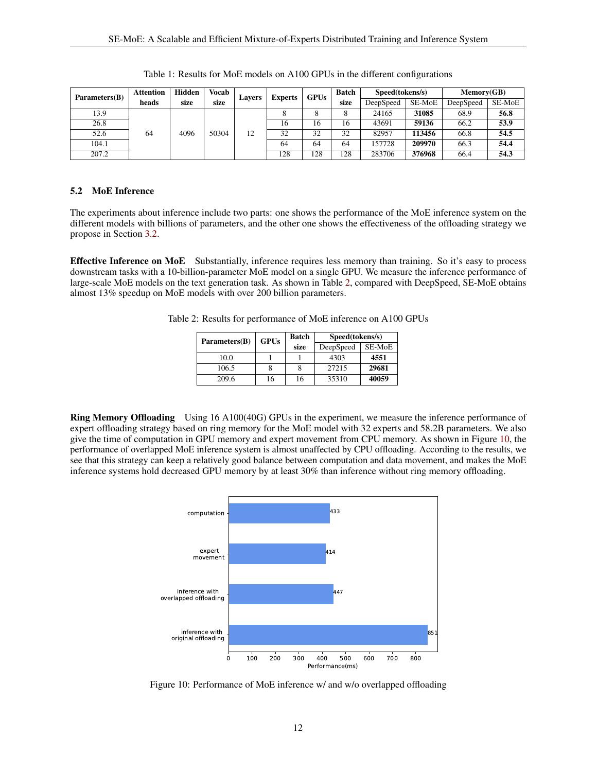<span id="page-11-1"></span>

| Parameters(B) | <b>Attention</b> | Hidden | Vocab | <b>Experts</b><br><b>Lavers</b> |     | <b>GPUs</b> | <b>Batch</b> | Speed(tokens/s) |        | Memory(GB) |        |
|---------------|------------------|--------|-------|---------------------------------|-----|-------------|--------------|-----------------|--------|------------|--------|
|               | heads            | size   | size  |                                 |     |             | size         | DeepSpeed       | SE-MoE | DeepSpeed  | SE-MoE |
| 13.9          | 64               | 4096   | 50304 | 12                              |     | 8           | 8            | 24165           | 31085  | 68.9       | 56.8   |
| 26.8          |                  |        |       |                                 | 16  | 16          | 16           | 43691           | 59136  | 66.2       | 53.9   |
| 52.6          |                  |        |       |                                 | 32  | 32          | 32           | 82957           | 113456 | 66.8       | 54.5   |
| 104.1         |                  |        |       |                                 | 64  | 64          | 64           | 157728          | 209970 | 66.3       | 54.4   |
| 207.2         |                  |        |       |                                 | 128 | 128         | 128          | 283706          | 376968 | 66.4       | 54.3   |

Table 1: Results for MoE models on A100 GPUs in the different configurations

#### <span id="page-11-0"></span>5.2 MoE Inference

The experiments about inference include two parts: one shows the performance of the MoE inference system on the different models with billions of parameters, and the other one shows the effectiveness of the offloading strategy we propose in Section [3.2.](#page-6-1)

<span id="page-11-2"></span>Effective Inference on MoE Substantially, inference requires less memory than training. So it's easy to process downstream tasks with a 10-billion-parameter MoE model on a single GPU. We measure the inference performance of large-scale MoE models on the text generation task. As shown in Table [2,](#page-11-2) compared with DeepSpeed, SE-MoE obtains almost 13% speedup on MoE models with over 200 billion parameters.

Table 2: Results for performance of MoE inference on A100 GPUs

| Parameters(B) | <b>GPUs</b> | <b>Batch</b> | Speed(tokens/s) |        |
|---------------|-------------|--------------|-----------------|--------|
|               |             | size         | DeepSpeed       | SE-MoE |
| 10.0          |             |              | 4303            | 4551   |
| 106.5         |             | 8            | 27215           | 29681  |
| 209.6         | 16          | 16           | 35310           | 40059  |

<span id="page-11-3"></span>Ring Memory Offloading Using 16 A100(40G) GPUs in the experiment, we measure the inference performance of expert offloading strategy based on ring memory for the MoE model with 32 experts and 58.2B parameters. We also give the time of computation in GPU memory and expert movement from CPU memory. As shown in Figure [10,](#page-11-3) the performance of overlapped MoE inference system is almost unaffected by CPU offloading. According to the results, we see that this strategy can keep a relatively good balance between computation and data movement, and makes the MoE inference systems hold decreased GPU memory by at least 30% than inference without ring memory offloading.



Figure 10: Performance of MoE inference w/ and w/o overlapped offloading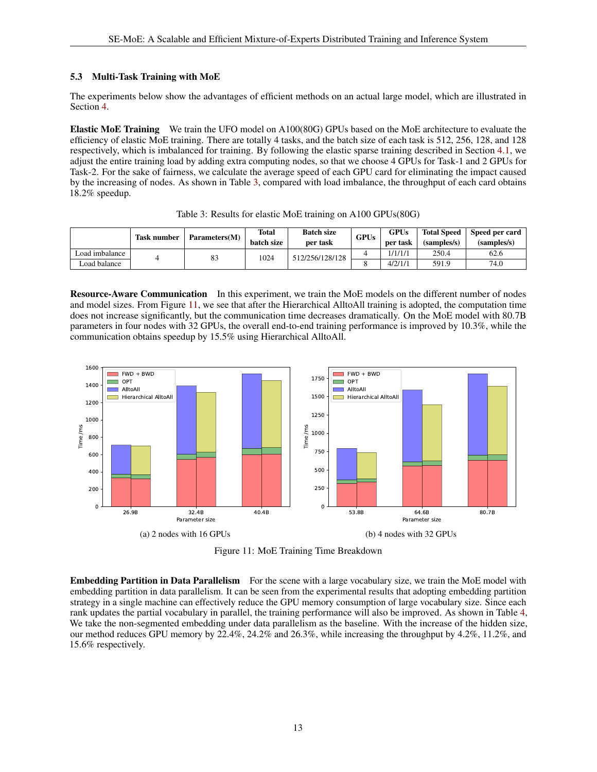#### <span id="page-12-0"></span>5.3 Multi-Task Training with MoE

The experiments below show the advantages of efficient methods on an actual large model, which are illustrated in Section [4.](#page-7-0)

Elastic MoE Training We train the UFO model on A100(80G) GPUs based on the MoE architecture to evaluate the efficiency of elastic MoE training. There are totally 4 tasks, and the batch size of each task is 512, 256, 128, and 128 respectively, which is imbalanced for training. By following the elastic sparse training described in Section [4.1,](#page-7-4) we adjust the entire training load by adding extra computing nodes, so that we choose 4 GPUs for Task-1 and 2 GPUs for Task-2. For the sake of fairness, we calculate the average speed of each GPU card for eliminating the impact caused by the increasing of nodes. As shown in Table [3,](#page-12-1) compared with load imbalance, the throughput of each card obtains 18.2% speedup.

<span id="page-12-1"></span>

|                | <b>Task number</b> | Parameters(M) | Total<br>batch size | <b>Batch size</b><br>per task | <b>GPUs</b> | <b>GPUs</b><br>per task | <b>Total Speed</b><br>(samples/s) | Speed per card<br>(samples/s) |
|----------------|--------------------|---------------|---------------------|-------------------------------|-------------|-------------------------|-----------------------------------|-------------------------------|
| Load imbalance |                    | 83            | 1024                | 512/256/128/128               |             | 1/1/1/1                 | 250.4                             | 62.6                          |
| Load balance   |                    |               |                     |                               |             | 4/2/1/1                 | 591.9                             | 74.0                          |

Table 3: Results for elastic MoE training on A100 GPUs(80G)

Resource-Aware Communication In this experiment, we train the MoE models on the different number of nodes and model sizes. From Figure [11,](#page-12-2) we see that after the Hierarchical AlltoAll training is adopted, the computation time does not increase significantly, but the communication time decreases dramatically. On the MoE model with 80.7B parameters in four nodes with 32 GPUs, the overall end-to-end training performance is improved by 10.3%, while the communication obtains speedup by 15.5% using Hierarchical AlltoAll.

<span id="page-12-2"></span>

Figure 11: MoE Training Time Breakdown

**Embedding Partition in Data Parallelism** For the scene with a large vocabulary size, we train the MoE model with embedding partition in data parallelism. It can be seen from the experimental results that adopting embedding partition strategy in a single machine can effectively reduce the GPU memory consumption of large vocabulary size. Since each rank updates the partial vocabulary in parallel, the training performance will also be improved. As shown in Table [4,](#page-13-2) We take the non-segmented embedding under data parallelism as the baseline. With the increase of the hidden size, our method reduces GPU memory by 22.4%, 24.2% and 26.3%, while increasing the throughput by 4.2%, 11.2%, and 15.6% respectively.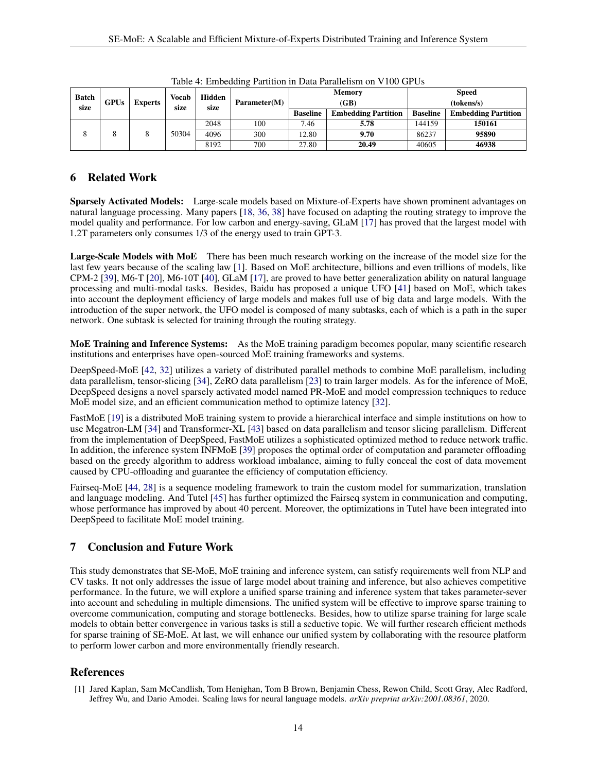<span id="page-13-2"></span>

| <b>Batch</b>        |                |      | Vocab | Hidden       |     |                 | <b>Memory</b>              | <b>Speed</b>    |                            |  |
|---------------------|----------------|------|-------|--------------|-----|-----------------|----------------------------|-----------------|----------------------------|--|
| <b>GPUs</b><br>size | <b>Experts</b> | size | size  | Parameter(M) |     | (GB)            | (tokens/s)                 |                 |                            |  |
|                     |                |      |       |              |     | <b>Baseline</b> | <b>Embedding Partition</b> | <b>Baseline</b> | <b>Embedding Partition</b> |  |
|                     |                |      | 50304 | 2048         | 100 | 7.46            | 5.78                       | 144159          | 150161                     |  |
|                     |                |      |       | 4096         | 300 | 12.80           | 9.70                       | 86237           | 95890                      |  |
|                     |                |      |       | 8192         | 700 | 27.80           | 20.49                      | 40605           | 46938                      |  |

Table 4: Embedding Partition in Data Parallelism on V100 GPUs

## <span id="page-13-1"></span>6 Related Work

Sparsely Activated Models: Large-scale models based on Mixture-of-Experts have shown prominent advantages on natural language processing. Many papers [\[18,](#page-14-16) [36,](#page-15-14) [38\]](#page-15-16) have focused on adapting the routing strategy to improve the model quality and performance. For low carbon and energy-saving, GLaM [\[17\]](#page-14-15) has proved that the largest model with 1.2T parameters only consumes 1/3 of the energy used to train GPT-3.

Large-Scale Models with MoE There has been much research working on the increase of the model size for the last few years because of the scaling law [\[1\]](#page-13-0). Based on MoE architecture, billions and even trillions of models, like CPM-2 [\[39\]](#page-15-17), M6-T [\[20\]](#page-14-18), M6-10T [\[40\]](#page-15-18), GLaM [\[17\]](#page-14-15), are proved to have better generalization ability on natural language processing and multi-modal tasks. Besides, Baidu has proposed a unique UFO [\[41\]](#page-15-19) based on MoE, which takes into account the deployment efficiency of large models and makes full use of big data and large models. With the introduction of the super network, the UFO model is composed of many subtasks, each of which is a path in the super network. One subtask is selected for training through the routing strategy.

MoE Training and Inference Systems: As the MoE training paradigm becomes popular, many scientific research institutions and enterprises have open-sourced MoE training frameworks and systems.

DeepSpeed-MoE [\[42,](#page-15-20) [32\]](#page-15-10) utilizes a variety of distributed parallel methods to combine MoE parallelism, including data parallelism, tensor-slicing [\[34\]](#page-15-12), ZeRO data parallelism [\[23\]](#page-15-1) to train larger models. As for the inference of MoE, DeepSpeed designs a novel sparsely activated model named PR-MoE and model compression techniques to reduce MoE model size, and an efficient communication method to optimize latency [\[32\]](#page-15-10).

FastMoE [\[19\]](#page-14-17) is a distributed MoE training system to provide a hierarchical interface and simple institutions on how to use Megatron-LM [\[34\]](#page-15-12) and Transformer-XL [\[43\]](#page-15-21) based on data parallelism and tensor slicing parallelism. Different from the implementation of DeepSpeed, FastMoE utilizes a sophisticated optimized method to reduce network traffic. In addition, the inference system INFMoE [\[39\]](#page-15-17) proposes the optimal order of computation and parameter offloading based on the greedy algorithm to address workload imbalance, aiming to fully conceal the cost of data movement caused by CPU-offloading and guarantee the efficiency of computation efficiency.

Fairseq-MoE [\[44,](#page-15-22) [28\]](#page-15-6) is a sequence modeling framework to train the custom model for summarization, translation and language modeling. And Tutel [\[45\]](#page-15-23) has further optimized the Fairseq system in communication and computing, whose performance has improved by about 40 percent. Moreover, the optimizations in Tutel have been integrated into DeepSpeed to facilitate MoE model training.

# 7 Conclusion and Future Work

This study demonstrates that SE-MoE, MoE training and inference system, can satisfy requirements well from NLP and CV tasks. It not only addresses the issue of large model about training and inference, but also achieves competitive performance. In the future, we will explore a unified sparse training and inference system that takes parameter-sever into account and scheduling in multiple dimensions. The unified system will be effective to improve sparse training to overcome communication, computing and storage bottlenecks. Besides, how to utilize sparse training for large scale models to obtain better convergence in various tasks is still a seductive topic. We will further research efficient methods for sparse training of SE-MoE. At last, we will enhance our unified system by collaborating with the resource platform to perform lower carbon and more environmentally friendly research.

# References

<span id="page-13-0"></span><sup>[1]</sup> Jared Kaplan, Sam McCandlish, Tom Henighan, Tom B Brown, Benjamin Chess, Rewon Child, Scott Gray, Alec Radford, Jeffrey Wu, and Dario Amodei. Scaling laws for neural language models. *arXiv preprint arXiv:2001.08361*, 2020.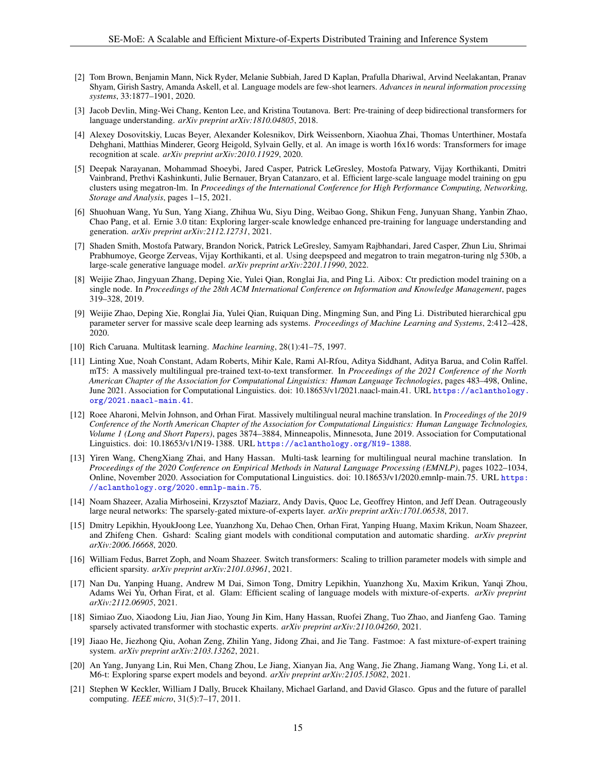- <span id="page-14-0"></span>[2] Tom Brown, Benjamin Mann, Nick Ryder, Melanie Subbiah, Jared D Kaplan, Prafulla Dhariwal, Arvind Neelakantan, Pranav Shyam, Girish Sastry, Amanda Askell, et al. Language models are few-shot learners. *Advances in neural information processing systems*, 33:1877–1901, 2020.
- <span id="page-14-1"></span>[3] Jacob Devlin, Ming-Wei Chang, Kenton Lee, and Kristina Toutanova. Bert: Pre-training of deep bidirectional transformers for language understanding. *arXiv preprint arXiv:1810.04805*, 2018.
- <span id="page-14-2"></span>[4] Alexey Dosovitskiy, Lucas Beyer, Alexander Kolesnikov, Dirk Weissenborn, Xiaohua Zhai, Thomas Unterthiner, Mostafa Dehghani, Matthias Minderer, Georg Heigold, Sylvain Gelly, et al. An image is worth 16x16 words: Transformers for image recognition at scale. *arXiv preprint arXiv:2010.11929*, 2020.
- <span id="page-14-3"></span>[5] Deepak Narayanan, Mohammad Shoeybi, Jared Casper, Patrick LeGresley, Mostofa Patwary, Vijay Korthikanti, Dmitri Vainbrand, Prethvi Kashinkunti, Julie Bernauer, Bryan Catanzaro, et al. Efficient large-scale language model training on gpu clusters using megatron-lm. In *Proceedings of the International Conference for High Performance Computing, Networking, Storage and Analysis*, pages 1–15, 2021.
- <span id="page-14-4"></span>[6] Shuohuan Wang, Yu Sun, Yang Xiang, Zhihua Wu, Siyu Ding, Weibao Gong, Shikun Feng, Junyuan Shang, Yanbin Zhao, Chao Pang, et al. Ernie 3.0 titan: Exploring larger-scale knowledge enhanced pre-training for language understanding and generation. *arXiv preprint arXiv:2112.12731*, 2021.
- <span id="page-14-5"></span>[7] Shaden Smith, Mostofa Patwary, Brandon Norick, Patrick LeGresley, Samyam Rajbhandari, Jared Casper, Zhun Liu, Shrimai Prabhumoye, George Zerveas, Vijay Korthikanti, et al. Using deepspeed and megatron to train megatron-turing nlg 530b, a large-scale generative language model. *arXiv preprint arXiv:2201.11990*, 2022.
- <span id="page-14-6"></span>[8] Weijie Zhao, Jingyuan Zhang, Deping Xie, Yulei Qian, Ronglai Jia, and Ping Li. Aibox: Ctr prediction model training on a single node. In *Proceedings of the 28th ACM International Conference on Information and Knowledge Management*, pages 319–328, 2019.
- <span id="page-14-7"></span>[9] Weijie Zhao, Deping Xie, Ronglai Jia, Yulei Qian, Ruiquan Ding, Mingming Sun, and Ping Li. Distributed hierarchical gpu parameter server for massive scale deep learning ads systems. *Proceedings of Machine Learning and Systems*, 2:412–428, 2020.
- <span id="page-14-8"></span>[10] Rich Caruana. Multitask learning. *Machine learning*, 28(1):41–75, 1997.
- <span id="page-14-9"></span>[11] Linting Xue, Noah Constant, Adam Roberts, Mihir Kale, Rami Al-Rfou, Aditya Siddhant, Aditya Barua, and Colin Raffel. mT5: A massively multilingual pre-trained text-to-text transformer. In *Proceedings of the 2021 Conference of the North American Chapter of the Association for Computational Linguistics: Human Language Technologies*, pages 483–498, Online, June 2021. Association for Computational Linguistics. doi: 10.18653/v1/2021.naacl-main.41. URL [https://aclanthology.](https://aclanthology.org/2021.naacl-main.41) [org/2021.naacl-main.41](https://aclanthology.org/2021.naacl-main.41).
- <span id="page-14-10"></span>[12] Roee Aharoni, Melvin Johnson, and Orhan Firat. Massively multilingual neural machine translation. In *Proceedings of the 2019 Conference of the North American Chapter of the Association for Computational Linguistics: Human Language Technologies, Volume 1 (Long and Short Papers)*, pages 3874–3884, Minneapolis, Minnesota, June 2019. Association for Computational Linguistics. doi: 10.18653/v1/N19-1388. URL <https://aclanthology.org/N19-1388>.
- <span id="page-14-11"></span>[13] Yiren Wang, ChengXiang Zhai, and Hany Hassan. Multi-task learning for multilingual neural machine translation. In *Proceedings of the 2020 Conference on Empirical Methods in Natural Language Processing (EMNLP)*, pages 1022–1034, Online, November 2020. Association for Computational Linguistics. doi: 10.18653/v1/2020.emnlp-main.75. URL [https:](https://aclanthology.org/2020.emnlp-main.75) [//aclanthology.org/2020.emnlp-main.75](https://aclanthology.org/2020.emnlp-main.75).
- <span id="page-14-12"></span>[14] Noam Shazeer, Azalia Mirhoseini, Krzysztof Maziarz, Andy Davis, Quoc Le, Geoffrey Hinton, and Jeff Dean. Outrageously large neural networks: The sparsely-gated mixture-of-experts layer. *arXiv preprint arXiv:1701.06538*, 2017.
- <span id="page-14-13"></span>[15] Dmitry Lepikhin, HyoukJoong Lee, Yuanzhong Xu, Dehao Chen, Orhan Firat, Yanping Huang, Maxim Krikun, Noam Shazeer, and Zhifeng Chen. Gshard: Scaling giant models with conditional computation and automatic sharding. *arXiv preprint arXiv:2006.16668*, 2020.
- <span id="page-14-14"></span>[16] William Fedus, Barret Zoph, and Noam Shazeer. Switch transformers: Scaling to trillion parameter models with simple and efficient sparsity. *arXiv preprint arXiv:2101.03961*, 2021.
- <span id="page-14-15"></span>[17] Nan Du, Yanping Huang, Andrew M Dai, Simon Tong, Dmitry Lepikhin, Yuanzhong Xu, Maxim Krikun, Yanqi Zhou, Adams Wei Yu, Orhan Firat, et al. Glam: Efficient scaling of language models with mixture-of-experts. *arXiv preprint arXiv:2112.06905*, 2021.
- <span id="page-14-16"></span>[18] Simiao Zuo, Xiaodong Liu, Jian Jiao, Young Jin Kim, Hany Hassan, Ruofei Zhang, Tuo Zhao, and Jianfeng Gao. Taming sparsely activated transformer with stochastic experts. *arXiv preprint arXiv:2110.04260*, 2021.
- <span id="page-14-17"></span>[19] Jiaao He, Jiezhong Qiu, Aohan Zeng, Zhilin Yang, Jidong Zhai, and Jie Tang. Fastmoe: A fast mixture-of-expert training system. *arXiv preprint arXiv:2103.13262*, 2021.
- <span id="page-14-18"></span>[20] An Yang, Junyang Lin, Rui Men, Chang Zhou, Le Jiang, Xianyan Jia, Ang Wang, Jie Zhang, Jiamang Wang, Yong Li, et al. M6-t: Exploring sparse expert models and beyond. *arXiv preprint arXiv:2105.15082*, 2021.
- <span id="page-14-19"></span>[21] Stephen W Keckler, William J Dally, Brucek Khailany, Michael Garland, and David Glasco. Gpus and the future of parallel computing. *IEEE micro*, 31(5):7–17, 2011.